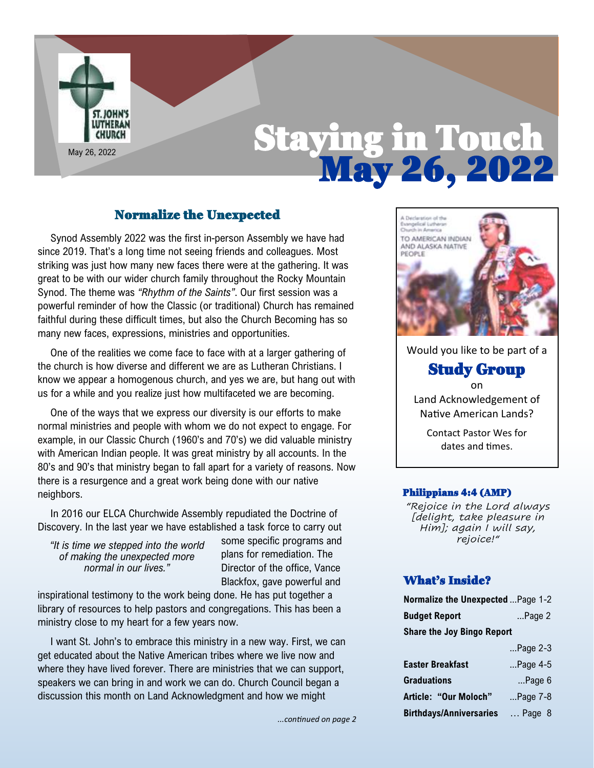May 26, 2022

ST. JOHN'S UTHERAN CHURCH

# Staying in Touch May 26, 2022

## Normalize the Unexpected

Synod Assembly 2022 was the first in-person Assembly we have had since 2019. That's a long time not seeing friends and colleagues. Most striking was just how many new faces there were at the gathering. It was great to be with our wider church family throughout the Rocky Mountain Synod. The theme was *"Rhythm of the Saints"*. Our first session was a powerful reminder of how the Classic (or traditional) Church has remained faithful during these difficult times, but also the Church Becoming has so many new faces, expressions, ministries and opportunities.

One of the realities we come face to face with at a larger gathering of the church is how diverse and different we are as Lutheran Christians. I know we appear a homogenous church, and yes we are, but hang out with us for a while and you realize just how multifaceted we are becoming.

One of the ways that we express our diversity is our efforts to make normal ministries and people with whom we do not expect to engage. For example, in our Classic Church (1960's and 70's) we did valuable ministry with American Indian people. It was great ministry by all accounts. In the 80's and 90's that ministry began to fall apart for a variety of reasons. Now there is a resurgence and a great work being done with our native neighbors.

In 2016 our ELCA Churchwide Assembly repudiated the Doctrine of Discovery. In the last year we have established a task force to carry out

*"It is time we stepped into the world of making the unexpected more normal in our lives."*

some specific programs and plans for remediation. The Director of the office, Vance Blackfox, gave powerful and

inspirational testimony to the work being done. He has put together a library of resources to help pastors and congregations. This has been a ministry close to my heart for a few years now.

I want St. John's to embrace this ministry in a new way. First, we can get educated about the Native American tribes where we live now and where they have lived forever. There are ministries that we can support, speakers we can bring in and work we can do. Church Council began a discussion this month on Land Acknowledgment and how we might



Would you like to be part of a

# Study Group

on Land Acknowledgement of Native American Lands?

> Contact Pastor Wes for dates and times.

## Philippians 4:4 (AMP)

*"Rejoice in the Lord always [delight, take pleasure in Him]; again I will say, rejoice!"*

## What's Inside?

| Normalize the Unexpected  Page 1-2 |  |  |  |
|------------------------------------|--|--|--|
| $$ Page $2$                        |  |  |  |
| <b>Share the Joy Bingo Report</b>  |  |  |  |
| $Page 2-3$                         |  |  |  |
| Page $4-5$                         |  |  |  |
| $$ Page 6                          |  |  |  |
|                                    |  |  |  |

**Article: "Our Moloch"** ...Page 7-8

**Birthdays/Anniversaries** … Page 8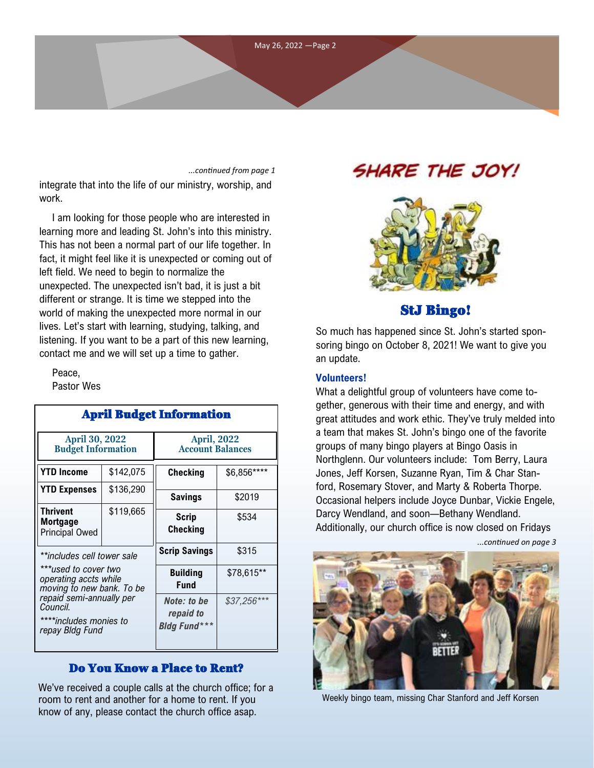*...continued from page 1*

integrate that into the life of our ministry, worship, and work.

I am looking for those people who are interested in learning more and leading St. John's into this ministry. This has not been a normal part of our life together. In fact, it might feel like it is unexpected or coming out of left field. We need to begin to normalize the unexpected. The unexpected isn't bad, it is just a bit different or strange. It is time we stepped into the world of making the unexpected more normal in our lives. Let's start with learning, studying, talking, and listening. If you want to be a part of this new learning, contact me and we will set up a time to gather.

Peace, Pastor Wes

| <b>April Budget Information</b>                                                                                                                                                               |           |                                                 |             |
|-----------------------------------------------------------------------------------------------------------------------------------------------------------------------------------------------|-----------|-------------------------------------------------|-------------|
| <b>April 30, 2022</b><br><b>Budget Information</b>                                                                                                                                            |           | <b>April, 2022</b><br><b>Account Balances</b>   |             |
| <b>YTD Income</b>                                                                                                                                                                             | \$142,075 | Checking                                        | \$6,856**** |
| <b>YTD Expenses</b>                                                                                                                                                                           | \$136,290 | <b>Savings</b>                                  | \$2019      |
| <b>Thrivent</b><br>Mortgage<br><b>Principal Owed</b>                                                                                                                                          | \$119,665 | Scrip<br>Checking                               | \$534       |
| **includes cell tower sale<br>***used to cover two<br>operating accts while<br>moving to new bank. To be<br>repaid semi-annually per<br>Council.<br>****includes monies to<br>repay Bldg Fund |           | <b>Scrip Savings</b>                            | \$315       |
|                                                                                                                                                                                               |           | <b>Building</b><br><b>Fund</b>                  | \$78,615**  |
|                                                                                                                                                                                               |           | Note: to be<br>repaid to<br><b>Bldg Fund***</b> | \$37,256*** |

## Do You Know a Place to Rent?

We've received a couple calls at the church office; for a room to rent and another for a home to rent. If you know of any, please contact the church office asap.

SHARE THE JOY!



StJ Bingo!

So much has happened since St. John's started sponsoring bingo on October 8, 2021! We want to give you an update.

### **Volunteers!**

What a delightful group of volunteers have come together, generous with their time and energy, and with great attitudes and work ethic. They've truly melded into a team that makes St. John's bingo one of the favorite groups of many bingo players at Bingo Oasis in Northglenn. Our volunteers include: Tom Berry, Laura Jones, Jeff Korsen, Suzanne Ryan, Tim & Char Stanford, Rosemary Stover, and Marty & Roberta Thorpe. Occasional helpers include Joyce Dunbar, Vickie Engele, Darcy Wendland, and soon—Bethany Wendland. Additionally, our church office is now closed on Fridays

*...continued on page 3*



Weekly bingo team, missing Char Stanford and Jeff Korsen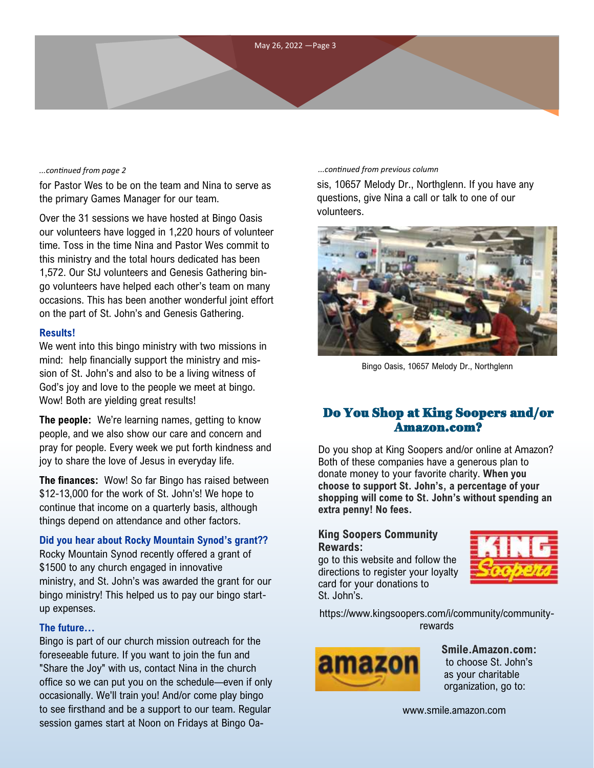#### *...continued from page 2*

for Pastor Wes to be on the team and Nina to serve as the primary Games Manager for our team.

Over the 31 sessions we have hosted at Bingo Oasis our volunteers have logged in 1,220 hours of volunteer time. Toss in the time Nina and Pastor Wes commit to this ministry and the total hours dedicated has been 1,572. Our StJ volunteers and Genesis Gathering bingo volunteers have helped each other's team on many occasions. This has been another wonderful joint effort on the part of St. John's and Genesis Gathering.

#### **Results!**

We went into this bingo ministry with two missions in mind: help financially support the ministry and mission of St. John's and also to be a living witness of God's joy and love to the people we meet at bingo. Wow! Both are yielding great results!

**The people:** We're learning names, getting to know people, and we also show our care and concern and pray for people. Every week we put forth kindness and joy to share the love of Jesus in everyday life.

**The finances:** Wow! So far Bingo has raised between \$12-13,000 for the work of St. John's! We hope to continue that income on a quarterly basis, although things depend on attendance and other factors.

#### **Did you hear about Rocky Mountain Synod's grant??**

Rocky Mountain Synod recently offered a grant of \$1500 to any church engaged in innovative ministry, and St. John's was awarded the grant for our bingo ministry! This helped us to pay our bingo startup expenses.

#### **The future…**

Bingo is part of our church mission outreach for the foreseeable future. If you want to join the fun and "Share the Joy" with us, contact Nina in the church office so we can put you on the schedule—even if only occasionally. We'll train you! And/or come play bingo to see firsthand and be a support to our team. Regular session games start at Noon on Fridays at Bingo Oa-

#### *...continued from previous column*

sis, 10657 Melody Dr., Northglenn. If you have any questions, give Nina a call or talk to one of our volunteers.



Bingo Oasis, 10657 Melody Dr., Northglenn

## Do You Shop at King Soopers and/or Amazon.com?

Do you shop at King Soopers and/or online at Amazon? Both of these companies have a generous plan to donate money to your favorite charity. **When you choose to support St. John's, a percentage of your shopping will come to St. John's without spending an extra penny! No fees.**

## **King Soopers Community Rewards:**

go to this website and follow the directions to register your loyalty card for your donations to St. John's.



https://www.kingsoopers.com/i/community/communityrewards



**Smile.Amazon.com:**  to choose St. John's as your charitable organization, go to:

www.smile.amazon.com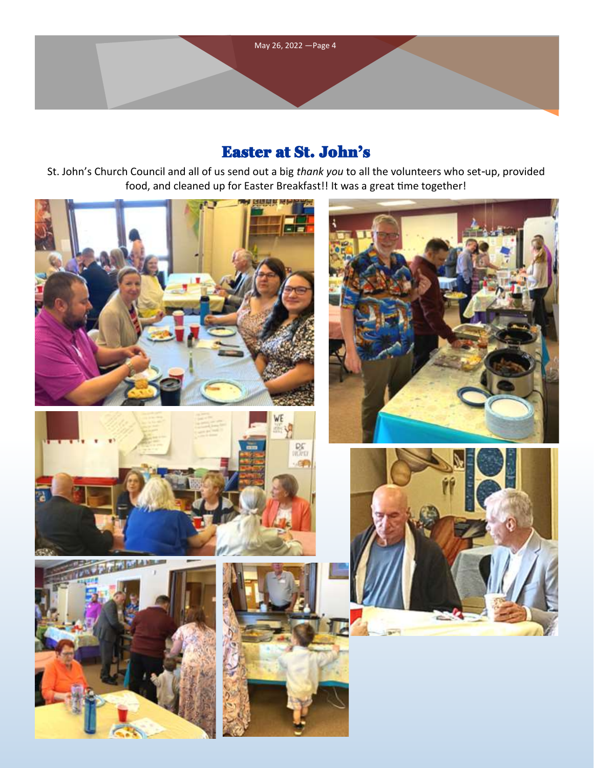

# Easter at St. John's

St. John's Church Council and all of us send out a big *thank you* to all the volunteers who set-up, provided food, and cleaned up for Easter Breakfast!! It was a great time together!

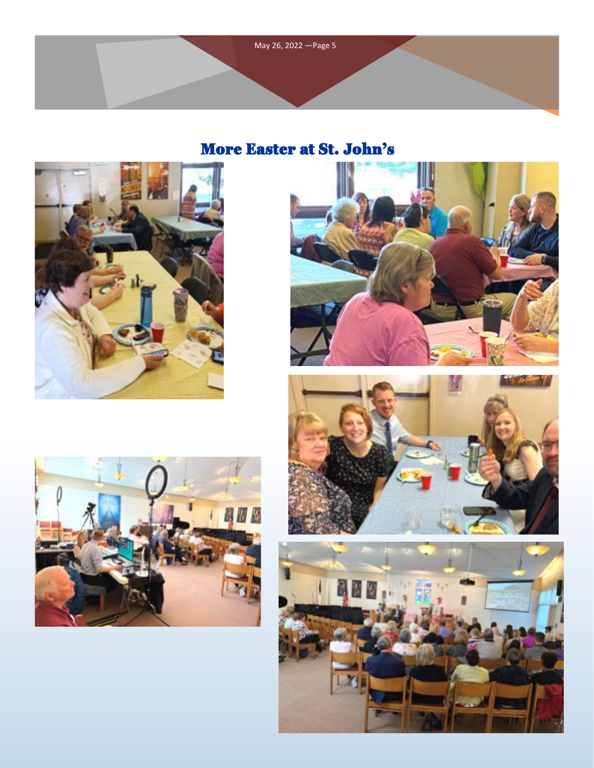

More Easter at St. John's









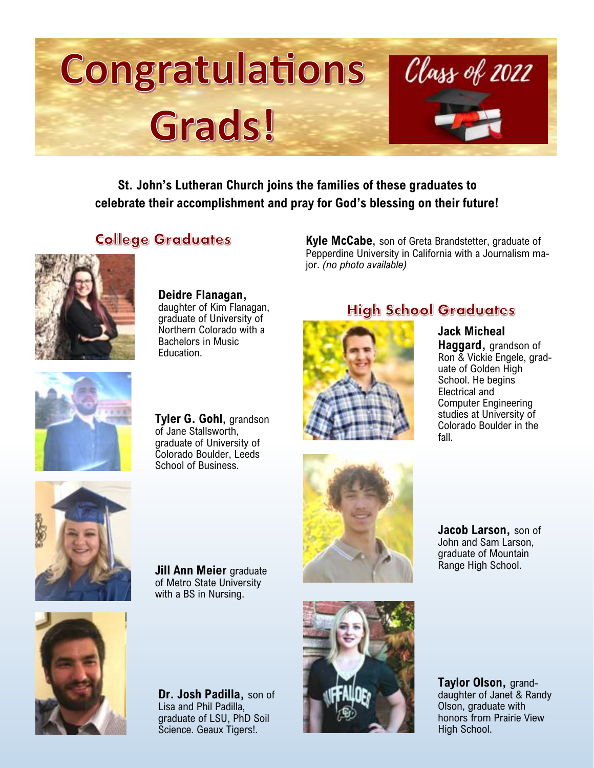

**St. John's Lutheran Church joins the families of these graduates to celebrate their accomplishment and pray for God's blessing on their future!**

# **College Graduates**



**Deidre Flanagan,** daughter of Kim Flanagan, graduate of University of Northern Colorado with a Bachelors in Music Education.

**Tyler G. Gohl**, grandson

of Jane Stallsworth, graduate of University of Colorado Boulder, Leeds School of Business.

# **High School Graduates**

**Kyle McCabe**, son of Greta Brandstetter, graduate of Pepperdine University in California with a Journalism ma-



jor. *(no photo available)*

**Jack Micheal Haggard,** grandson of Ron & Vickie Engele, graduate of Golden High School. He begins Electrical and Computer Engineering studies at University of Colorado Boulder in the fall.



of Metro State University with a BS in Nursing.





**Jacob Larson,** son of John and Sam Larson, graduate of Mountain Range High School.

**Taylor Olson,** granddaughter of Janet & Randy Olson, graduate with honors from Prairie View High School.



**Jill Ann Meier** graduate



**Dr. Josh Padilla,** son of Lisa and Phil Padilla, graduate of LSU, PhD Soil Science. Geaux Tigers!.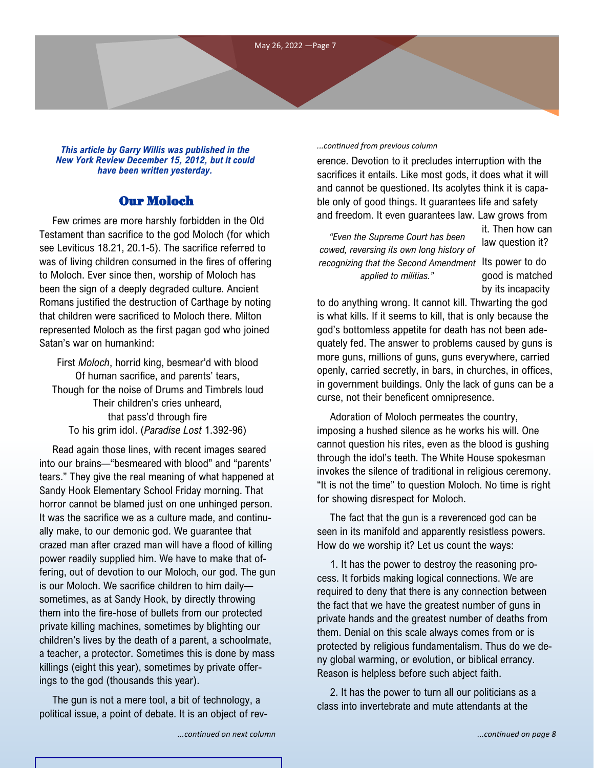*This article by Garry Willis was published in the New York Review December 15, 2012, but it could have been written yesterday.*

## Our Moloch

Few crimes are more harshly forbidden in the Old Testament than sacrifice to the god Moloch (for which see Leviticus 18.21, 20.1-5). The sacrifice referred to was of living children consumed in the fires of offering to Moloch. Ever since then, worship of Moloch has been the sign of a deeply degraded culture. Ancient Romans justified the destruction of Carthage by noting that children were sacrificed to Moloch there. Milton represented Moloch as the first pagan god who joined Satan's war on humankind:

First *Moloch*, horrid king, besmear'd with blood Of human sacrifice, and parents' tears, Though for the noise of Drums and Timbrels loud Their children's cries unheard, that pass'd through fire To his grim idol. (*Paradise Lost* 1.392-96)

Read again those lines, with recent images seared into our brains—"besmeared with blood" and "parents' tears." They give the real meaning of what happened at Sandy Hook Elementary School Friday morning. That horror cannot be blamed just on one unhinged person. It was the sacrifice we as a culture made, and continually make, to our demonic god. We guarantee that crazed man after crazed man will have a flood of killing power readily supplied him. We have to make that offering, out of devotion to our Moloch, our god. The gun is our Moloch. We sacrifice children to him daily sometimes, as at Sandy Hook, by directly throwing them into the fire-hose of bullets from our protected private killing machines, sometimes by blighting our children's lives by the death of a parent, a schoolmate, a teacher, a protector. Sometimes this is done by mass killings [\(eight this year\),](http://www.nytimes.com/2012/12/15/opinion/collins-looking-for-america.html) sometimes by private offerings to the god [\(thousands this year\).](http://www.thedailybeast.com/articles/2012/07/24/87-gun-deaths-a-day-why-the-colorado-shooting-is-tragically-unsurprising.html)

The gun is not a mere tool, a bit of technology, a political issue, a point of debate. It is an object of rev-

#### *...continued from previous column*

erence. Devotion to it precludes interruption with the sacrifices it entails. Like most gods, it does what it will and cannot be questioned. Its acolytes think it is capable only of good things. It guarantees life and safety and freedom. It even guarantees law. Law grows from

*recognizing that the Second Amendment* Its power to do *"Even the Supreme Court has been cowed, reversing its own long history of applied to militias."*

it. Then how can law question it?

good is matched by its incapacity

to do anything wrong. It cannot kill. Thwarting the god is what kills. If it seems to kill, that is only because the god's bottomless appetite for death has not been adequately fed. The answer to problems caused by guns is more guns, millions of guns, guns everywhere, carried openly, carried secretly, in bars, in churches, in offices, in government buildings. Only the lack of guns can be a curse, not their beneficent omnipresence.

Adoration of Moloch permeates the country, imposing a hushed silence as he works his will. One cannot question his rites, even as the blood is gushing through the idol's teeth. The White House spokesman invokes the silence of traditional in religious ceremony. "It is not the time" to question Moloch. No time is right for showing disrespect for Moloch.

The fact that the gun is a reverenced god can be seen in its manifold and apparently resistless powers. How do we worship it? Let us count the ways:

1. It has the power to destroy the reasoning process. It forbids making logical connections. We are required to deny that there is any connection between the fact that we have the greatest number of guns in private hands and the greatest number of deaths from them. Denial on this scale always comes from or is protected by religious fundamentalism. Thus do we deny global warming, or evolution, or biblical errancy. Reason is helpless before such abject faith.

2. It has the power to turn all our politicians as a class into invertebrate and mute attendants at the